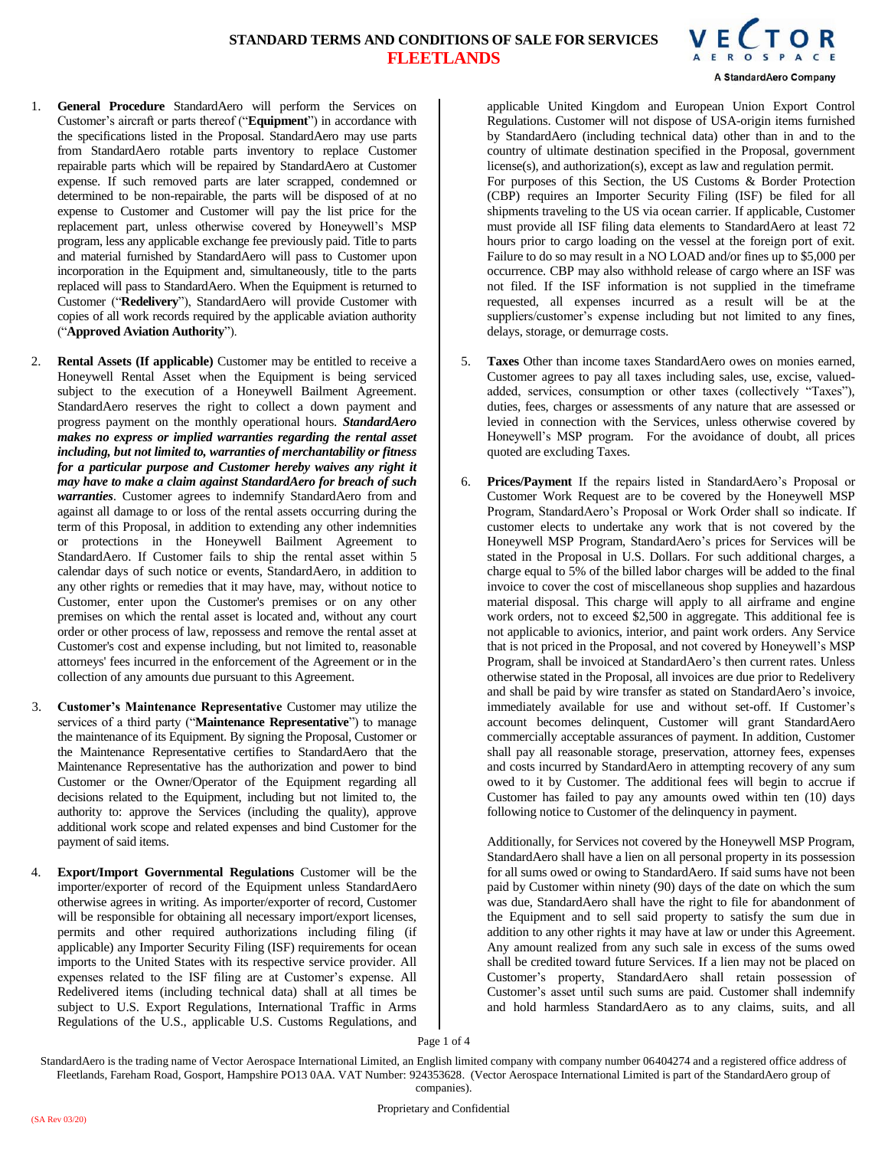

- 1. **General Procedure** StandardAero will perform the Services on Customer's aircraft or parts thereof ("**Equipment**") in accordance with the specifications listed in the Proposal. StandardAero may use parts from StandardAero rotable parts inventory to replace Customer repairable parts which will be repaired by StandardAero at Customer expense. If such removed parts are later scrapped, condemned or determined to be non-repairable, the parts will be disposed of at no expense to Customer and Customer will pay the list price for the replacement part, unless otherwise covered by Honeywell's MSP program, less any applicable exchange fee previously paid. Title to parts and material furnished by StandardAero will pass to Customer upon incorporation in the Equipment and, simultaneously, title to the parts replaced will pass to StandardAero. When the Equipment is returned to Customer ("**Redelivery**"), StandardAero will provide Customer with copies of all work records required by the applicable aviation authority ("**Approved Aviation Authority**").
- 2. **Rental Assets (If applicable)** Customer may be entitled to receive a Honeywell Rental Asset when the Equipment is being serviced subject to the execution of a Honeywell Bailment Agreement. StandardAero reserves the right to collect a down payment and progress payment on the monthly operational hours. *StandardAero makes no express or implied warranties regarding the rental asset including, but not limited to, warranties of merchantability or fitness for a particular purpose and Customer hereby waives any right it may have to make a claim against StandardAero for breach of such warranties*. Customer agrees to indemnify StandardAero from and against all damage to or loss of the rental assets occurring during the term of this Proposal, in addition to extending any other indemnities or protections in the Honeywell Bailment Agreement to StandardAero. If Customer fails to ship the rental asset within 5 calendar days of such notice or events, StandardAero, in addition to any other rights or remedies that it may have, may, without notice to Customer, enter upon the Customer's premises or on any other premises on which the rental asset is located and, without any court order or other process of law, repossess and remove the rental asset at Customer's cost and expense including, but not limited to, reasonable attorneys' fees incurred in the enforcement of the Agreement or in the collection of any amounts due pursuant to this Agreement.
- 3. **Customer's Maintenance Representative** Customer may utilize the services of a third party ("**Maintenance Representative**") to manage the maintenance of its Equipment. By signing the Proposal, Customer or the Maintenance Representative certifies to StandardAero that the Maintenance Representative has the authorization and power to bind Customer or the Owner/Operator of the Equipment regarding all decisions related to the Equipment, including but not limited to, the authority to: approve the Services (including the quality), approve additional work scope and related expenses and bind Customer for the payment of said items.
- 4. **Export/Import Governmental Regulations** Customer will be the importer/exporter of record of the Equipment unless StandardAero otherwise agrees in writing. As importer/exporter of record, Customer will be responsible for obtaining all necessary import/export licenses, permits and other required authorizations including filing (if applicable) any Importer Security Filing (ISF) requirements for ocean imports to the United States with its respective service provider. All expenses related to the ISF filing are at Customer's expense. All Redelivered items (including technical data) shall at all times be subject to U.S. Export Regulations, International Traffic in Arms Regulations of the U.S., applicable U.S. Customs Regulations, and

applicable United Kingdom and European Union Export Control Regulations. Customer will not dispose of USA-origin items furnished by StandardAero (including technical data) other than in and to the country of ultimate destination specified in the Proposal, government license(s), and authorization(s), except as law and regulation permit. For purposes of this Section, the US Customs & Border Protection (CBP) requires an Importer Security Filing (ISF) be filed for all shipments traveling to the US via ocean carrier. If applicable, Customer must provide all ISF filing data elements to StandardAero at least 72 hours prior to cargo loading on the vessel at the foreign port of exit. Failure to do so may result in a NO LOAD and/or fines up to \$5,000 per occurrence. CBP may also withhold release of cargo where an ISF was not filed. If the ISF information is not supplied in the timeframe requested, all expenses incurred as a result will be at the suppliers/customer's expense including but not limited to any fines, delays, storage, or demurrage costs.

- 5. **Taxes** Other than income taxes StandardAero owes on monies earned, Customer agrees to pay all taxes including sales, use, excise, valuedadded, services, consumption or other taxes (collectively "Taxes"), duties, fees, charges or assessments of any nature that are assessed or levied in connection with the Services, unless otherwise covered by Honeywell's MSP program. For the avoidance of doubt, all prices quoted are excluding Taxes.
- **Prices/Payment** If the repairs listed in StandardAero's Proposal or Customer Work Request are to be covered by the Honeywell MSP Program, StandardAero's Proposal or Work Order shall so indicate. If customer elects to undertake any work that is not covered by the Honeywell MSP Program, StandardAero's prices for Services will be stated in the Proposal in U.S. Dollars. For such additional charges, a charge equal to 5% of the billed labor charges will be added to the final invoice to cover the cost of miscellaneous shop supplies and hazardous material disposal. This charge will apply to all airframe and engine work orders, not to exceed \$2,500 in aggregate. This additional fee is not applicable to avionics, interior, and paint work orders. Any Service that is not priced in the Proposal, and not covered by Honeywell's MSP Program, shall be invoiced at StandardAero's then current rates. Unless otherwise stated in the Proposal, all invoices are due prior to Redelivery and shall be paid by wire transfer as stated on StandardAero's invoice, immediately available for use and without set-off. If Customer's account becomes delinquent, Customer will grant StandardAero commercially acceptable assurances of payment. In addition, Customer shall pay all reasonable storage, preservation, attorney fees, expenses and costs incurred by StandardAero in attempting recovery of any sum owed to it by Customer. The additional fees will begin to accrue if Customer has failed to pay any amounts owed within ten (10) days following notice to Customer of the delinquency in payment.

Additionally, for Services not covered by the Honeywell MSP Program, StandardAero shall have a lien on all personal property in its possession for all sums owed or owing to StandardAero. If said sums have not been paid by Customer within ninety (90) days of the date on which the sum was due, StandardAero shall have the right to file for abandonment of the Equipment and to sell said property to satisfy the sum due in addition to any other rights it may have at law or under this Agreement. Any amount realized from any such sale in excess of the sums owed shall be credited toward future Services. If a lien may not be placed on Customer's property, StandardAero shall retain possession of Customer's asset until such sums are paid. Customer shall indemnify and hold harmless StandardAero as to any claims, suits, and all

Page 1 of 4

StandardAero is the trading name of Vector Aerospace International Limited, an English limited company with company number 06404274 and a registered office address of Fleetlands, Fareham Road, Gosport, Hampshire PO13 0AA. VAT Number: 924353628. (Vector Aerospace International Limited is part of the StandardAero group of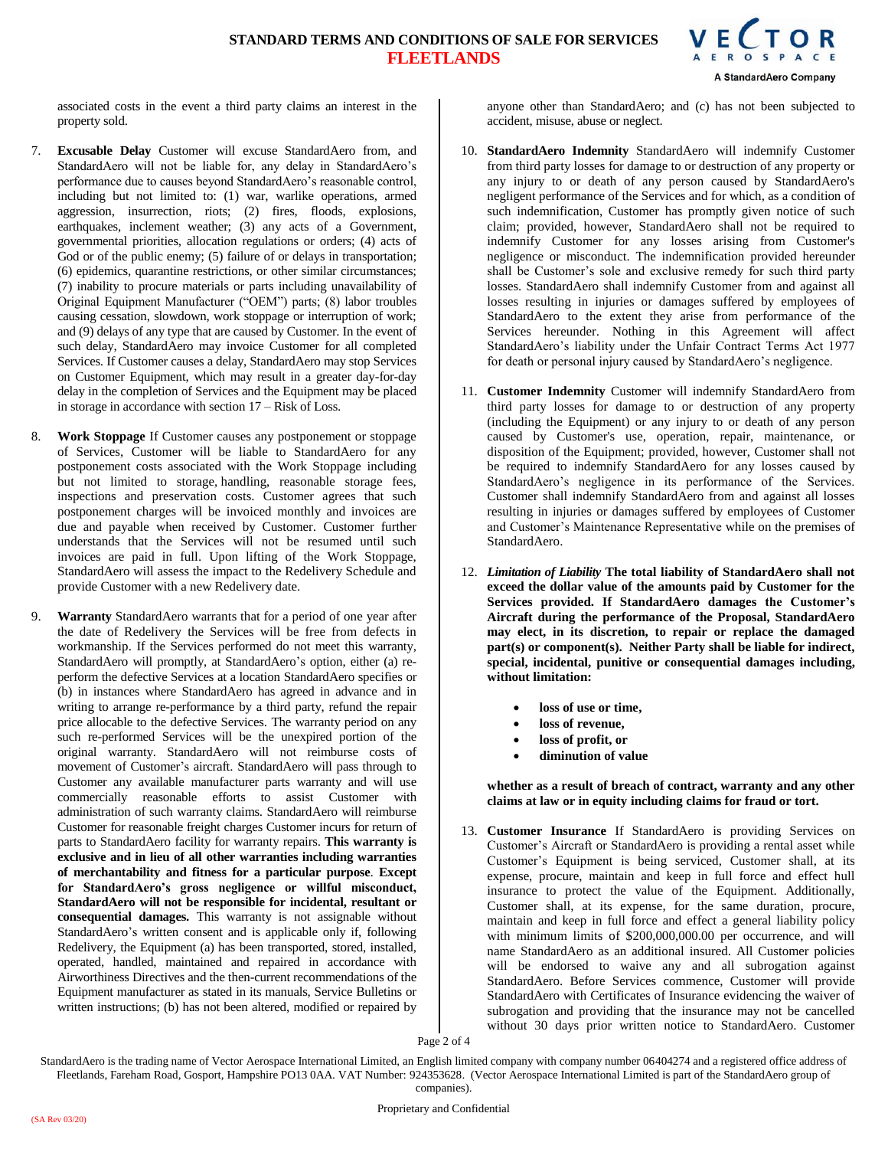A StandardAero Company

associated costs in the event a third party claims an interest in the property sold.

- 7. **Excusable Delay** Customer will excuse StandardAero from, and StandardAero will not be liable for, any delay in StandardAero's performance due to causes beyond StandardAero's reasonable control, including but not limited to: (1) war, warlike operations, armed aggression, insurrection, riots; (2) fires, floods, explosions, earthquakes, inclement weather; (3) any acts of a Government, governmental priorities, allocation regulations or orders; (4) acts of God or of the public enemy; (5) failure of or delays in transportation; (6) epidemics, quarantine restrictions, or other similar circumstances; (7) inability to procure materials or parts including unavailability of Original Equipment Manufacturer ("OEM") parts; (8) labor troubles causing cessation, slowdown, work stoppage or interruption of work; and (9) delays of any type that are caused by Customer. In the event of such delay, StandardAero may invoice Customer for all completed Services. If Customer causes a delay, StandardAero may stop Services on Customer Equipment, which may result in a greater day-for-day delay in the completion of Services and the Equipment may be placed in storage in accordance with section 17 – Risk of Loss.
- 8. **Work Stoppage** If Customer causes any postponement or stoppage of Services, Customer will be liable to StandardAero for any postponement costs associated with the Work Stoppage including but not limited to storage, handling, reasonable storage fees, inspections and preservation costs. Customer agrees that such postponement charges will be invoiced monthly and invoices are due and payable when received by Customer. Customer further understands that the Services will not be resumed until such invoices are paid in full. Upon lifting of the Work Stoppage, StandardAero will assess the impact to the Redelivery Schedule and provide Customer with a new Redelivery date.
- 9. **Warranty** StandardAero warrants that for a period of one year after the date of Redelivery the Services will be free from defects in workmanship. If the Services performed do not meet this warranty, StandardAero will promptly, at StandardAero's option, either (a) reperform the defective Services at a location StandardAero specifies or (b) in instances where StandardAero has agreed in advance and in writing to arrange re-performance by a third party, refund the repair price allocable to the defective Services. The warranty period on any such re-performed Services will be the unexpired portion of the original warranty. StandardAero will not reimburse costs of movement of Customer's aircraft. StandardAero will pass through to Customer any available manufacturer parts warranty and will use commercially reasonable efforts to assist Customer with administration of such warranty claims. StandardAero will reimburse Customer for reasonable freight charges Customer incurs for return of parts to StandardAero facility for warranty repairs. **This warranty is exclusive and in lieu of all other warranties including warranties of merchantability and fitness for a particular purpose**. **Except for StandardAero's gross negligence or willful misconduct, StandardAero will not be responsible for incidental, resultant or consequential damages.** This warranty is not assignable without StandardAero's written consent and is applicable only if, following Redelivery, the Equipment (a) has been transported, stored, installed, operated, handled, maintained and repaired in accordance with Airworthiness Directives and the then-current recommendations of the Equipment manufacturer as stated in its manuals, Service Bulletins or written instructions; (b) has not been altered, modified or repaired by

anyone other than StandardAero; and (c) has not been subjected to accident, misuse, abuse or neglect.

- 10. **StandardAero Indemnity** StandardAero will indemnify Customer from third party losses for damage to or destruction of any property or any injury to or death of any person caused by StandardAero's negligent performance of the Services and for which, as a condition of such indemnification, Customer has promptly given notice of such claim; provided, however, StandardAero shall not be required to indemnify Customer for any losses arising from Customer's negligence or misconduct. The indemnification provided hereunder shall be Customer's sole and exclusive remedy for such third party losses. StandardAero shall indemnify Customer from and against all losses resulting in injuries or damages suffered by employees of StandardAero to the extent they arise from performance of the Services hereunder. Nothing in this Agreement will affect StandardAero's liability under the Unfair Contract Terms Act 1977 for death or personal injury caused by StandardAero's negligence.
- 11. **Customer Indemnity** Customer will indemnify StandardAero from third party losses for damage to or destruction of any property (including the Equipment) or any injury to or death of any person caused by Customer's use, operation, repair, maintenance, or disposition of the Equipment; provided, however, Customer shall not be required to indemnify StandardAero for any losses caused by StandardAero's negligence in its performance of the Services. Customer shall indemnify StandardAero from and against all losses resulting in injuries or damages suffered by employees of Customer and Customer's Maintenance Representative while on the premises of StandardAero.
- 12. *Limitation of Liability* **The total liability of StandardAero shall not exceed the dollar value of the amounts paid by Customer for the Services provided. If StandardAero damages the Customer's Aircraft during the performance of the Proposal, StandardAero may elect, in its discretion, to repair or replace the damaged part(s) or component(s). Neither Party shall be liable for indirect, special, incidental, punitive or consequential damages including, without limitation:**
	- **loss of use or time,**
	- **loss of revenue,**
	- **loss of profit, or**
	- **diminution of value**

**whether as a result of breach of contract, warranty and any other claims at law or in equity including claims for fraud or tort.** 

13. **Customer Insurance** If StandardAero is providing Services on Customer's Aircraft or StandardAero is providing a rental asset while Customer's Equipment is being serviced, Customer shall, at its expense, procure, maintain and keep in full force and effect hull insurance to protect the value of the Equipment. Additionally, Customer shall, at its expense, for the same duration, procure, maintain and keep in full force and effect a general liability policy with minimum limits of \$200,000,000.00 per occurrence, and will name StandardAero as an additional insured. All Customer policies will be endorsed to waive any and all subrogation against StandardAero. Before Services commence, Customer will provide StandardAero with Certificates of Insurance evidencing the waiver of subrogation and providing that the insurance may not be cancelled without 30 days prior written notice to StandardAero. Customer

Page 2 of 4

StandardAero is the trading name of Vector Aerospace International Limited, an English limited company with company number 06404274 and a registered office address of Fleetlands, Fareham Road, Gosport, Hampshire PO13 0AA. VAT Number: 924353628. (Vector Aerospace International Limited is part of the StandardAero group of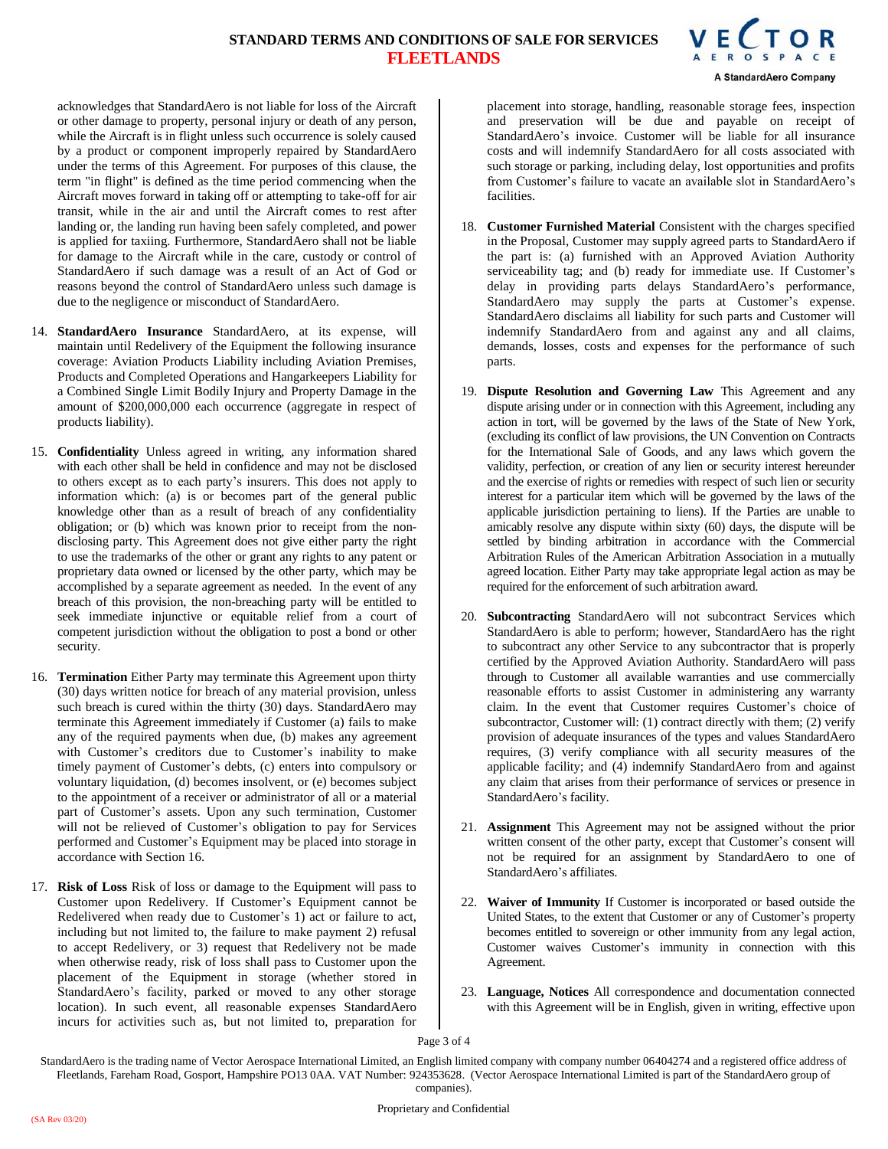

acknowledges that StandardAero is not liable for loss of the Aircraft or other damage to property, personal injury or death of any person, while the Aircraft is in flight unless such occurrence is solely caused by a product or component improperly repaired by StandardAero under the terms of this Agreement. For purposes of this clause, the term "in flight" is defined as the time period commencing when the Aircraft moves forward in taking off or attempting to take-off for air transit, while in the air and until the Aircraft comes to rest after landing or, the landing run having been safely completed, and power is applied for taxiing. Furthermore, StandardAero shall not be liable for damage to the Aircraft while in the care, custody or control of StandardAero if such damage was a result of an Act of God or reasons beyond the control of StandardAero unless such damage is due to the negligence or misconduct of StandardAero.

- 14. **StandardAero Insurance** StandardAero, at its expense, will maintain until Redelivery of the Equipment the following insurance coverage: Aviation Products Liability including Aviation Premises, Products and Completed Operations and Hangarkeepers Liability for a Combined Single Limit Bodily Injury and Property Damage in the amount of \$200,000,000 each occurrence (aggregate in respect of products liability).
- 15. **Confidentiality** Unless agreed in writing, any information shared with each other shall be held in confidence and may not be disclosed to others except as to each party's insurers. This does not apply to information which: (a) is or becomes part of the general public knowledge other than as a result of breach of any confidentiality obligation; or (b) which was known prior to receipt from the nondisclosing party. This Agreement does not give either party the right to use the trademarks of the other or grant any rights to any patent or proprietary data owned or licensed by the other party, which may be accomplished by a separate agreement as needed. In the event of any breach of this provision, the non-breaching party will be entitled to seek immediate injunctive or equitable relief from a court of competent jurisdiction without the obligation to post a bond or other security.
- 16. **Termination** Either Party may terminate this Agreement upon thirty (30) days written notice for breach of any material provision, unless such breach is cured within the thirty (30) days. StandardAero may terminate this Agreement immediately if Customer (a) fails to make any of the required payments when due, (b) makes any agreement with Customer's creditors due to Customer's inability to make timely payment of Customer's debts, (c) enters into compulsory or voluntary liquidation, (d) becomes insolvent, or (e) becomes subject to the appointment of a receiver or administrator of all or a material part of Customer's assets. Upon any such termination, Customer will not be relieved of Customer's obligation to pay for Services performed and Customer's Equipment may be placed into storage in accordance with Section 16.
- 17. **Risk of Loss** Risk of loss or damage to the Equipment will pass to Customer upon Redelivery. If Customer's Equipment cannot be Redelivered when ready due to Customer's 1) act or failure to act, including but not limited to, the failure to make payment 2) refusal to accept Redelivery, or 3) request that Redelivery not be made when otherwise ready, risk of loss shall pass to Customer upon the placement of the Equipment in storage (whether stored in StandardAero's facility, parked or moved to any other storage location). In such event, all reasonable expenses StandardAero incurs for activities such as, but not limited to, preparation for

placement into storage, handling, reasonable storage fees, inspection and preservation will be due and payable on receipt of StandardAero's invoice. Customer will be liable for all insurance costs and will indemnify StandardAero for all costs associated with such storage or parking, including delay, lost opportunities and profits from Customer's failure to vacate an available slot in StandardAero's facilities.

- 18. **Customer Furnished Material** Consistent with the charges specified in the Proposal, Customer may supply agreed parts to StandardAero if the part is: (a) furnished with an Approved Aviation Authority serviceability tag; and (b) ready for immediate use. If Customer's delay in providing parts delays StandardAero's performance, StandardAero may supply the parts at Customer's expense. StandardAero disclaims all liability for such parts and Customer will indemnify StandardAero from and against any and all claims, demands, losses, costs and expenses for the performance of such parts.
- 19. **Dispute Resolution and Governing Law** This Agreement and any dispute arising under or in connection with this Agreement, including any action in tort, will be governed by the laws of the State of New York, (excluding its conflict of law provisions, the UN Convention on Contracts for the International Sale of Goods, and any laws which govern the validity, perfection, or creation of any lien or security interest hereunder and the exercise of rights or remedies with respect of such lien or security interest for a particular item which will be governed by the laws of the applicable jurisdiction pertaining to liens). If the Parties are unable to amicably resolve any dispute within sixty (60) days, the dispute will be settled by binding arbitration in accordance with the Commercial Arbitration Rules of the American Arbitration Association in a mutually agreed location. Either Party may take appropriate legal action as may be required for the enforcement of such arbitration award.
- 20. **Subcontracting** StandardAero will not subcontract Services which StandardAero is able to perform; however, StandardAero has the right to subcontract any other Service to any subcontractor that is properly certified by the Approved Aviation Authority. StandardAero will pass through to Customer all available warranties and use commercially reasonable efforts to assist Customer in administering any warranty claim. In the event that Customer requires Customer's choice of subcontractor, Customer will: (1) contract directly with them; (2) verify provision of adequate insurances of the types and values StandardAero requires, (3) verify compliance with all security measures of the applicable facility; and (4) indemnify StandardAero from and against any claim that arises from their performance of services or presence in StandardAero's facility.
- 21. **Assignment** This Agreement may not be assigned without the prior written consent of the other party, except that Customer's consent will not be required for an assignment by StandardAero to one of StandardAero's affiliates.
- 22. **Waiver of Immunity** If Customer is incorporated or based outside the United States, to the extent that Customer or any of Customer's property becomes entitled to sovereign or other immunity from any legal action, Customer waives Customer's immunity in connection with this Agreement.
- 23. **Language, Notices** All correspondence and documentation connected with this Agreement will be in English, given in writing, effective upon

Page 3 of 4

StandardAero is the trading name of Vector Aerospace International Limited, an English limited company with company number 06404274 and a registered office address of Fleetlands, Fareham Road, Gosport, Hampshire PO13 0AA. VAT Number: 924353628. (Vector Aerospace International Limited is part of the StandardAero group of companies).